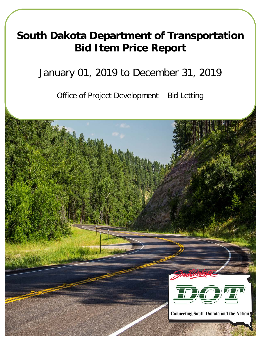# **South Dakota Department of Transportation Bid Item Price Report**

## January 01, 2019 to December 31, 2019

Office of Project Development – Bid Letting

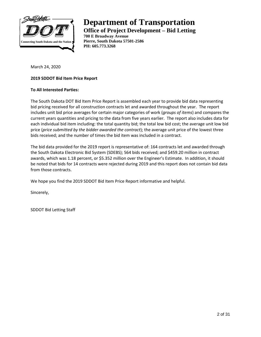

## **Department of Transportation Office of Project Development – Bid Letting**

**700 E Broadway Avenue Pierre, South Dakota 57501-2586 PH: 605.773.3268**

March 24, 2020

### **2019 SDDOT Bid Item Price Report**

#### **To All Interested Parties:**

The South Dakota DOT Bid Item Price Report is assembled each year to provide bid data representing bid pricing received for all construction contracts let and awarded throughout the year. The report includes unit bid price averages for certain major categories of work (*groups of items*) and compares the current years quantities and pricing to the data from five years earlier. The report also includes data for each individual bid item including: the total quantity bid; the total low bid cost; the average unit low bid price (*price submitted by the bidder awarded the contract*); the average unit price of the lowest three bids received; and the number of times the bid item was included in a contract.

The bid data provided for the 2019 report is representative of: 164 contracts let and awarded through the South Dakota Electronic Bid System (SDEBS); 564 bids received; and \$459.20 million in contract awards, which was 1.18 percent, or \$5.352 million over the Engineer's Estimate. In addition, it should be noted that bids for 14 contracts were rejected during 2019 and this report does not contain bid data from those contracts.

We hope you find the 2019 SDDOT Bid Item Price Report informative and helpful.

Sincerely,

SDDOT Bid Letting Staff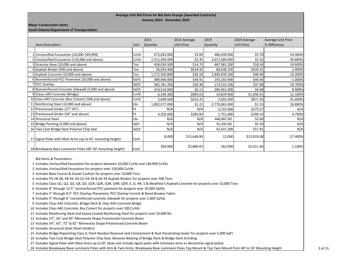#### **Average Unit Bid Prices for Bid Item Groups (Awarded Contracts) January 2019 - December 2019**

#### **Major Construction Items**

#### **South Dakota Department of Transportation**

| 2015<br>2019                                                |      |               |                   |               |                   |                           |  |
|-------------------------------------------------------------|------|---------------|-------------------|---------------|-------------------|---------------------------|--|
|                                                             |      |               | 2015 Average      |               | 2019 Average      | <b>Average Unit Price</b> |  |
| Item Description                                            | Unit | Quantity      | <b>Unit Price</b> | Quantity      | <b>Unit Price</b> | % Difference              |  |
|                                                             |      |               |                   |               |                   |                           |  |
| Unclassified Excavation (10,000-149,999)                    | CuYd | 673,692.000   | \$3.69            | 486,430.000   | \$5.70            | 54.400%                   |  |
| Unclassified Excavation (150,000 and above)                 | CuYd | 2,312,304.000 | \$3.35            | 3,617,660.000 | \$2.32            | -30.800%                  |  |
| Granular Base (10,000 and above)                            | Ton  | 458,034.500   | \$14.73           | 487,981.200   | \$18.34           | 24.600%                   |  |
| 4 Asphalt Binder (500 and above)                            | Ton  | 58,693.400    | \$624.42          | 88,638.100    | \$639.41          | 2.400%                    |  |
| 5 Asphalt Concrete (10,000 and above)                       | Ton  | 1,172,550.800 | \$36.19           | 1,846,830.200 | \$40.96           | 13.200%                   |  |
| 6 Nonreinforced PCC Pavement (20,000 and above)             | SqYd | 389,906.800   | \$44.91           | 193,192.900   | \$44.44           | $-1.000%$                 |  |
| 7 PCC Overlay                                               | SqYd | 365,781.200   | \$30.38           | 174,522.100   | \$37.88           | 24.700%                   |  |
| 8 Nonreinforced Concrete Sidewalk (5,000 and above)         | SqYd | 314,516.000   | \$6.13            | 289,961.000   | \$6.68            | 8.900%                    |  |
| 9 Classs A45 Concrete (Bridge)                              | CuYd | 6,549.300     | \$905.63          | 10,839.900    | \$1,096.91        | 21.100%                   |  |
| 10 Class A45 Concrete (Box Culvert) (100 and above)         | CuYd | 3,004.500     | \$616.23          | 2,692.600     | \$871.56          | 41.400%                   |  |
| 11 Reinforcing Steel (10,000 and above)                     | Lbs  | 1,892,577.000 | \$1.21            | 2,770,065.000 | \$1.53            | 26.800%                   |  |
| 12 Prestressed Girder (27"-45")                             | Ft   | N/A           | N/A               | 3,153.000     | \$273.57          | N/A                       |  |
| 13 Prestressed Girder (54" and above)                       | Ft   | 4,202.000     | \$285.83          | 1,751.000     | \$299.14          | 4.700%                    |  |
| 14 Structural Steel                                         | Lbs  | N/A           | N/A               | 440,467.00    | \$2.60            | N/A                       |  |
| 15 Bridge Painting (5,000 and above)                        | SqFt | N/A           | N/A               | 91,342.00     | \$5.54            | N/A                       |  |
| 16 Two Coat Bridge Deck Polymer Chip Seal                   | SqYd | N/A           | N/A               | 42,021.200    | \$57.91           | N/A                       |  |
| 17 Signal Poles with Mast Arms (up to 65' mounting height)  | Each | 8.000         | \$15,648.93       | 12.000        | \$12,919.08       | $-17.400%$                |  |
| 18 Breakaway Base Luminaire Poles (40'-50' mounting height) | Each | 304.000       | \$2,880.65        | 262.000       | \$2,911.46        | 1.100%                    |  |

Bid Items & Parameters:

Includes Unclassified Excavation for projects between 10,000 CuYds and 149,999 CuYds

Includes Unclassified Excavation for projects over 150,000 CuYds

Includes Base Course & Gravel Cushion for projects over 10,000 Tons

Includes PG 58-28, 58-34, 64-22, 64-28 & 64-34 Asphalt Binders for projects over 500 Tons

Includes Class Q1, Q2, Q3, Q4, Q5, Q1R, Q2R, Q3R, Q4R, Q5R, E, G, HR, S & Modified S Asphalt Concrete for projects over 10,000 Tons

Includes 8" through 12.5" nonreinforced PCC pavment for projects over 20,000 SqYds

Includes 5" through 8.5" PCC Overlay Placement, PCC Overlay Furnish & Bond Breaker Fabric

Includes 4" through 6" nonreinforced concrete sidewalk for projects over 5,000 SqYds

Includes Class A45 Concrete, Bridge Deck & Class A45 Concrete Bridge

Includes Class A45 Concrete, Box Culvert for projects over 100 CuYds

Includes Reinforcing Steel and Epoxy Coated Reinforcing Steel for projects over 10,000 lbs

Includes 27", 36" and 45" Minnesota Shape Prestressed Concrete Beam

Includes 54", 63", 72" & 81" Minnesota Shape Prestressed Concrete Beam

Includes Structural Steel (Steel Girders)

Includes Bridge Repainting Class II, Paint Residue Removal and Containment & Rust Penatrating Sealer for projects over 5,000 SqFt

Includes Two Coat Bridge Deck Polymer Chip Seal, Abrasive Blasting of Bridge Deck & Bridge Deck Grinding

Includes Signal Poles with Mast Arms up to 65' (does not include signal poles with luminaire arms or decorative signal poles)

18 Includes Breakaway Base Luminaire Poles with Arm & Twin Arms, Breakaway Base Luminaire Poles Top Mount & Top Twin Mount from 40' to 50' Mounting Height 3 of 31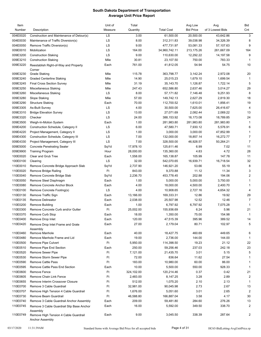| Item     |                                                          | Unit of | Total      |                   | Avg Low          | Avg              | Bid                     |
|----------|----------------------------------------------------------|---------|------------|-------------------|------------------|------------------|-------------------------|
| Number   | Description                                              | Measure | Quantity   | <b>Total Cost</b> | <b>Bid Price</b> | of 3 Lowest Bids | Cnt                     |
| 004E0020 | Construction and Maintenance of Detour(s)                | LS      | 3.00       | 61,500.00         | 20,500.00        | 43,642.86        | 3                       |
| 004E0030 | Maintenance of Traffic Diversion(s)                      | LS      | 8.00       | 312,311.83        | 39,038.98        | 34,326.39        | 8                       |
| 004E0050 | Remove Traffic Diversion(s)                              | LS      | 9.00       | 477,731.97        | 53,081.33        | 57,107.63        | 9                       |
| 009E0010 | Mobilization                                             | LS      | 164.00     | 34,960,742.11     | 213,175.26       | 261,667.09       | 164                     |
| 009E3200 | <b>Construction Staking</b>                              | LS      | 9.00       | 110,630.00        | 12,292.22        | 14,197.58        | 9                       |
| 009E3210 | <b>Construction Staking</b>                              | Mile    | 30.81      | 23,107.50         | 750.00           | 783.33           | $\mathbf{1}$            |
| 009E3220 | Reestablish Right-of-Way and Property                    | Each    | 761.00     | 41,812.05         | 54.94            | 54.75            | 10                      |
|          | Corner                                                   |         |            |                   |                  |                  |                         |
| 009E3230 | <b>Grade Staking</b>                                     | Mile    | 115.78     | 363,798.77        | 3,142.24         | 2,972.08         | 20                      |
| 009E3240 | <b>Graded Centerline Staking</b>                         | Mile    | 14.90      | 25,015.23         | 1,679.10         | 1,699.54         | 1                       |
| 009E3245 | <b>Final Cross Section Survey</b>                        | Mile    | 31.19      | 35,143.70         | 1,126.87         | 1,722.14         | 5                       |
| 009E3250 | Miscellaneous Staking                                    | Mile    | 247.43     | 652,586.80        | 2,637.46         | 3,014.27         | 29                      |
| 009E3260 | <b>Miscellaneous Staking</b>                             | LS      | 8.00       | 57,171.82         | 7,146.48         | 9,251.93         | 8                       |
| 009E3280 | Slope Staking                                            | Mile    | 57.00      | 149,742.13        | 2,627.29         | 2,819.30         | 18                      |
| 009E3290 | <b>Structure Staking</b>                                 | Each    | 70.00      | 112,700.52        | 1,610.01         | 1,856.41         | 19                      |
| 009E3305 | As-Built Survey                                          | LS      | 4.00       | 30,500.00         | 7,625.00         | 26,416.67        | 4                       |
| 009E3310 | <b>Bridge Elevation Survey</b>                           | LS      | 13.00      | 27,071.69         | 2,082.44         | 2,069.22         | 13                      |
| 009E3320 | Checker                                                  | LS      | 24.00      | 388,153.92        | 16,173.08        | 18,789.85        | 24                      |
| 009E3500 | Weigh-In-Motion System                                   | Each    | 1.00       | 281,983.80        | 281,983.80       | 281,983.80       | $\mathbf{1}$            |
| 009E4200 | Construction Schedule, Category II                       | LS      | 6.00       | 47,580.71         | 7,930.12         | 5,576.91         | 6                       |
| 009E4220 | Project Management, Category II                          | LS      | 1.00       | 3,000.00          | 3,000.00         | 47,852.99        | $\mathbf{1}$            |
| 009E4300 | Construction Schedule, Category III                      | LS      | 7.00       | 132,000.00        | 18,857.14        | 16,272.77        | $\overline{7}$          |
| 009E4330 | Project Management, Category III                         | LS      | 7.00       | 328,500.00        | 46,928.57        | 50,264.21        | $\overline{7}$          |
| 009E5000 | <b>Concrete Penetrating Sealer</b>                       | SqYd    | 17,978.10  | 125,611.46        | 6.99             | 7.02             | 11                      |
| 009E9900 | <b>Training Program</b>                                  | Hour    | 28,000.00  | 135,360.00        | 4.83             | 4.72             | 28                      |
| 100E0020 | Clear and Grub Tree                                      | Each    | 1,558.00   | 165,138.87        | 105.99           | 147.78           | 11                      |
| 100E0100 | Clearing                                                 | LS      | 32.00      | 542,070.65        | 16,939.71        | 16,718.54        | 32                      |
| 110E0010 | Remove Concrete Bridge Approach Slab                     | SqYd    | 2,737.90   | 146,921.20        | 53.66            | 55.19            | 8                       |
| 110E0020 | Remove Bridge Railing                                    | Ft      | 843.00     | 9,370.88          | 11.12            | 11.34            | 3                       |
| 110E0040 | Remove Concrete Bridge Slab                              | SqYd    | 2,236.70   | 453,778.45        | 202.88           | 194.06           | $\overline{\mathbf{c}}$ |
| 110E0050 | Remove Steel Diaphragm                                   | Each    | 1.00       | 5,000.00          | 5,000.00         | 3,750.00         | $\mathbf{1}$            |
| 110E0080 | Remove Concrete Anchor Block                             | Each    | 4.00       | 18,000.00         | 4,500.00         | 2,400.70         | $\mathbf{1}$            |
| 110E0100 | Remove Concrete Footing(s)                               | LS      | 4.00       | 10,908.65         | 2,727.16         | 4,654.32         | $\overline{4}$          |
| 110E0130 | Remove Traffic Sign                                      | Each    | 13,166.00  | 169,333.31        | 12.86            | 19.92            | 29                      |
| 110E0135 | <b>Remove Delineator</b>                                 | Each    | 2,038.00   | 25,507.98         | 12.52            | 12.46            | $\overline{7}$          |
| 110E0200 | <b>Remove Building</b>                                   | Each    | 1.00       | 6,797.92          | 6,797.92         | 7,075.28         | $\mathbf{1}$            |
| 110E0300 | Remove Concrete Curb and/or Gutter                       | Ft      | 25,002.00  | 155,936.69        | 6.24             | 5.96             | 21                      |
| 110E0370 | Remove Curb Stop                                         | Each    | 18.00      | 1,350.00          | 75.00            | 154.98           | 1                       |
| 110E0400 | Remove Drop Inlet                                        | Each    | 120.00     | 47,515.39         | 395.96           | 389.52           | 14                      |
| 110E0420 | Remove Drop Inlet Frame and Grate                        | Each    | 27.00      | 2,179.04          | 80.71            | 102.97           | 5                       |
|          | Assembly                                                 |         |            |                   |                  |                  |                         |
| 110E0460 | Remove Manhole                                           | Each    | 40.00      | 18,427.75         | 460.69           | 449.65           | 6                       |
| 110E0480 | Remove Manhole Frame and Lid                             | Each    | 19.00      | 2,736.00          | 144.00           | 144.00           | $\overline{1}$          |
| 110E0500 | <b>Remove Pipe Culvert</b>                               | Ft      | 5,950.00   | 114,398.50        | 19.23            | 21.12            | 22                      |
| 110E0510 | Remove Pipe End Section                                  | Each    | 250.00     | 59,256.46         | 237.03           | 242.18           | 23                      |
| 110E0520 | <b>Remove Sewer Pipe</b>                                 | Ft      | 7,121.00   | 21,435.70         | 3.01             | 5.15             | 5                       |
| 110E0530 | Remove Storm Sewer Pipe                                  | Ft      | 72.00      | 836.64            | 11.62            | 27.54            | $\mathbf{1}$            |
| 110E0590 | <b>Remove Cattle Pass</b>                                | Ft      | 183.00     | 10,980.00         | 60.00            | 86.00            | 1                       |
| 110E0595 | Remove Cattle Pass End Section                           | Each    | 10.00      | 5,500.00          | 550.00           | 928.33           | $\mathbf{1}$            |
| 110E0600 | Remove Fence                                             | Ft      | 324,102.00 | 120,214.46        | 0.37             | 0.42             | 21                      |
| 110E0605 | Remove Chain Link Fence                                  | Ft      | 2,483.00   | 8,147.25          | 3.28             | 2.89             | $\overline{2}$          |
| 110E0655 | Remove Interim Crossover Closure                         | Ft      | 512.00     | 1,075.20          | 2.10             | 2.13             | $\mathbf{1}$            |
| 110E0700 | Remove 3 Cable Guardrail                                 | Ft      | 32,981.00  | 90,045.98         | 2.73             | 2.67             | 13                      |
| 110E0707 | Remove High Tension 4 Cable Guardrail                    | Ft      | 1,676.00   | 5,051.60          | 3.01             | 2.65             | $\overline{2}$          |
| 110E0730 | Remove Beam Guardrail                                    | Ft      | 46,588.80  | 166,887.04        | 3.58             | 4.17             | 30                      |
| 110E0740 | Remove 3 Cable Guardrail Anchor Assembly                 | Each    | 209.00     | 59,481.80         | 284.60           | 276.26           | 13                      |
| 110E0745 | Remove 3 Cable Guardrail Slip Base Anchor                | Each    | 16.00      | 5,592.00          | 349.50           | 338.70           | $\overline{c}$          |
|          | Assembly                                                 |         |            |                   |                  |                  |                         |
| 110E0749 | Remove High Tension 4 Cable Guardrail<br>Anchor Assembly | Each    | 9.00       | 3,045.50          | 338.39           | 287.64           | $\overline{2}$          |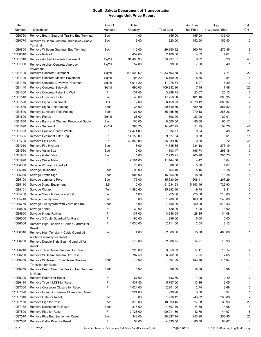| Item<br>Number | Description                                        | Unit of<br>Measure                                          | Total<br>Quantity | <b>Total Cost</b>    | Avg Low<br><b>Bid Price</b> | Avg<br>of 3 Lowest Bids         | Bid<br>Cnt     |
|----------------|----------------------------------------------------|-------------------------------------------------------------|-------------------|----------------------|-----------------------------|---------------------------------|----------------|
|                |                                                    |                                                             |                   |                      |                             |                                 |                |
| 110E0760       | Remove Beam Guardrail Trailing End Terminal        | Each                                                        | 1.00              | 155.00               | 155.00                      | 135.00                          | $\mathbf{1}$   |
| 110E0770       | Remove W Beam Guardrail Breakaway Cable            | Each                                                        | 8.00              | 1,220.00             | 152.50                      | 155.50                          | 2              |
| 110E0800       | Terminal<br>Remove W Beam Guardrail End Terminal   | Each                                                        | 115.00            |                      | 260.70                      | 275.86                          | 9              |
| 110E0810       | Remove Rubrail                                     | Ft                                                          | 459.60            | 29,980.92            | 4.59                        | 4.61                            | 5              |
| 110E1010       |                                                    |                                                             | 91,468.90         | 2,108.50             | 6.02                        | 6.26                            | 43             |
| 110E1050       | Remove Asphalt Concrete Pavement                   | SqYd                                                        | 57.00             | 550,937.01<br>399.00 | 7.00                        | 8.40                            | $\mathbf{1}$   |
|                | Remove Asphalt Concrete Approach                   | SqYd                                                        |                   |                      |                             |                                 |                |
| 110E1100       | Pavement<br>Remove Concrete Pavement               | SqYd                                                        | 148,500.60        | 1,033,763.58         | 6.96                        | 7.11                            | 22             |
| 110E1120       | Remove Concrete Median Pavement                    | SqYd                                                        | 705.20            | 6,109.96             | 8.66                        | 9.54                            | 4              |
| 110E1130       | Remove Concrete Driveway Pavement                  | SqYd                                                        | 6,911.20          | 41,278.34            | 5.97                        | 5.89                            | 12             |
| 110E1140       | Remove Concrete Sidewalk                           | SqYd                                                        | 14,696.00         | 109,932.20           | 7.48                        | 7.48                            | 20             |
| 110E1300       | Remove Concrete Retaining Wall                     | Ft                                                          | 137.40            | 3,238.75             | 23.57                       | 25.13                           | 3              |
| 110E1510       | Remove Luminaire Pole                              | Each                                                        | 43.00             | 17,250.00            | 401.16                      | 380.35                          | $\overline{2}$ |
| 110E1520       | Remove Signal Equipment                            | LS                                                          | 2.00              | 6,158.23             | 3,079.12                    | 6,086.37                        | $\overline{2}$ |
| 110E1530       | Remove Signal Pole Footing                         | Each                                                        | 36.00             | 20,149.30            | 559.70                      | 587.52                          | 6              |
| 110E1540       | Remove Luminaire Pole Footing                      | Each                                                        | 127.00            | 35,455.39            | 279.18                      | 265.26                          | 9              |
| 110E1600       | Remove Riprap                                      | SqYd                                                        | 26.00             | 598.00               | 23.00                       | 22.01                           | 1              |
| 110E1650       | Remove Bank and Channel Protection Gabion          | Each                                                        | 100.00            | 8,500.00             | 85.00                       | 65.17                           | $\mathbf{1}$   |
| 110E1690       | <b>Remove Sediment</b>                             | CuYd                                                        | 288.70            | 14,967.95            | 51.85                       | 54.75                           | 42             |
| 110E1693       | <b>Remove Erosion Control Wattle</b>               | Ft                                                          | 14,474.00         | 7,834.71             | 0.54                        | 0.48                            | 20             |
| 110E1695       | Remove Sediment Filter Bag                         | Ft                                                          | 14,153.00         | 9,627.34             | 0.68                        | 0.61                            | 11             |
| 110E1700       | Remove Silt Fence                                  | Ft                                                          | 43,858.00         | 35,039.16            | 0.80                        | 0.72                            | 48             |
| 110E1910       | Remove Fire Hydrant                                | Each                                                        | 16.00             | 4,545.65             | 284.10                      | 273.19                          | 3              |
| 110E1960       | Remove Valve Box                                   | Each                                                        | 2.00              | 393.47               | 196.74                      | 296.18                          | 2              |
| 110E1965       | <b>Remove Gate Valve</b>                           | Each                                                        | 11.00             | 2,235.21             | 203.20                      | 205.73                          | $\overline{2}$ |
| 110E1970       | Remove Water Main                                  | Ft                                                          | 2,591.00          | 11,444.50            | 4.42                        | 6.04                            | 6              |
| 110E4330       | Salvage W Beam Guardrail                           | Ft                                                          | 76.00             | 380.00               | 5.00                        | 4.67                            | $\mathbf{1}$   |
| 110E5010       | Salvage Delineator                                 | Each                                                        | 90.00             | 464.40               | 5.16                        | 5.18                            | $\overline{c}$ |
| 110E5020       | Salvage Traffic Sign                               | Each                                                        | 906.00            | 16,853.30            | 18.60                       | 18.28                           | 8              |
| 110E5100       | Salvage Luminaire Pole                             | Each                                                        | 75.00             | 15,630.99            | 208.41                      | 207.29                          | 4              |
| 110E5110       | Salvage Signal Equipment                           | LS                                                          | 10.00             | 51,534.63            | 5,153.46                    | 4,729.90                        | 10             |
| 110E5451       | Salvage Riprap                                     | Ton                                                         | 1,580.60          | 15,392.40            | 9.74                        | 9.31                            | 3              |
| 110E5700       | Salvage Manhole Frame and Lid                      | Each                                                        | 1.00              | 225.00               | 225.00                      | 210.00                          | $\mathbf{1}$   |
| 110E5740       | Salvage Fire Hydrant                               | Each                                                        | 8.00              | 1,280.00             | 160.00                      | 245.00                          | 1              |
| 110E5750       | Salvage Fire Hydrant with Valve and Box            | Each                                                        | 5.00              | 1,750.00             | 350.00                      | 513.33                          | 1              |
| 110E5800       | Salvage Fence                                      | Ft                                                          | 30.00             | 120.00               | 4.00                        | 3.00                            | $\mathbf{1}$   |
| 110E5900       | Salvage Bridge Railing                             | Ft                                                          | 137.00            | 3,856.55             | 28.15                       | 34.08                           |                |
| 110E6000       | Remove 3 Cable Guardrail for Reset                 | Ft                                                          | 166.00            | 996.00               | 6.00                        | 5.00                            | $\mathbf{1}$   |
| 110E6006       |                                                    | Ft                                                          | 1,030.00          | 2,111.50             | 2.05                        | 2.12                            | $\mathbf{1}$   |
|                | Remove High Tension 4 Cable Guardrail for<br>Reset |                                                             |                   |                      |                             |                                 |                |
| 110E6016       | Remove High Tension 4 Cable Guardrail              | Each                                                        | 4.00              | 2,060.00             | 515.00                      | 405.00                          | $\mathbf{1}$   |
|                | Anchor Assembly for Reset                          |                                                             |                   |                      |                             |                                 |                |
| 110E6200       | Remove Double Thrie Beam Guardrail for             | Ft                                                          | 175.00            | 2,608.75             | 14.91                       | 13.93                           | 3              |
|                | Reset                                              |                                                             |                   |                      |                             |                                 |                |
| 110E6210       | Remove Thrie Beam Guardrail for Reset              | Ft                                                          | 225.00            | 3,850.63             | 17.11                       | 13.14                           | 4              |
| 110E6230       | Remove W Beam Guardrail for Reset                  | Ft                                                          | 787.50            | 6,262.50             | 7.95                        | 7.65                            | 5              |
| 110E6240       | Remove W Beam to Thrie Beam Guardrail              | Each                                                        | 11.00             | 1,467.90             | 133.45                      | 116.97                          | 3              |
|                | <b>Transition for Reset</b>                        |                                                             |                   |                      |                             |                                 |                |
| 110E6250       | Remove Beam Guardrail Trailing End Terminal        | Each                                                        | 4.00              | 60.00                | 15.00                       | 12.68                           | $\mathbf{1}$   |
|                | for Reset                                          |                                                             |                   |                      |                             |                                 |                |
| 110E6300       | Remove Rubrail for Reset                           | Ft                                                          | 67.00             | 133.50               | 1.99                        | 2.49                            | $\overline{2}$ |
| 110E6410       | Remove Type 1 MGS for Reset                        | Ft                                                          | 437.50            | 5,757.50             | 13.16                       | 13.05                           | $\mathbf{1}$   |
| 110E7000       | Remove Crossover Closure for Reset                 | Ft                                                          | 1,024.00          | 2,801.60             | 2.74                        | 2.68                            | 3              |
| 110E7020       | Remove Interim Crossover Closure for Reset         | Ft                                                          | 224.00            | 739.20               | 3.30                        | 3.37                            | $\mathbf{1}$   |
| 110E7040       | Remove Gate for Reset                              | Each                                                        | 5.00              | 1,218.12             | 243.62                      | 268.88                          | $\overline{2}$ |
| 110E7150       | Remove Sign for Reset                              | Each                                                        | 373.00            | 10,399.45            | 27.88                       | 33.93                           | 20             |
| 110E7152       | Remove Delineator for Reset                        | Each                                                        | 318.00            | 4,707.40             | 14.80                       | 14.08                           | 4              |
| 110E7500       | Remove Pipe for Reset                              | Ft                                                          | 2,126.00          | 90,911.60            | 42.76                       | 44.97                           | 18             |
| 110E7510       | Remove Pipe End Section for Reset                  | Each                                                        | 348.00            | 88,387.14            | 253.99                      | 258.85                          | 23             |
| 110E7530       | Remove Cattle Pass for Reset                       | Ft                                                          | 54.00             | 4,590.00             | 85.00                       | 84.67                           | $\mathbf{1}$   |
| 03/17/2020     | 11:31:39AM                                         | Standard Items with Average Bid Price for all accepted bids |                   | Page 5 of 31         |                             | HC65-BidLetting-AvgUnitPrice.rp |                |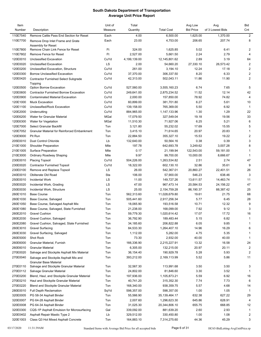| Item<br>Number | Description                                                            | Unit of<br>Measure | Total<br>Quantity | <b>Total Cost</b> | Avg Low<br><b>Bid Price</b> | Avg<br>of 3 Lowest Bids | <b>Bid</b><br>Cnt |
|----------------|------------------------------------------------------------------------|--------------------|-------------------|-------------------|-----------------------------|-------------------------|-------------------|
| 110E7540       | Remove Cattle Pass End Section for Reset                               | Each               | 4.00              | 6,500.00          | 1,625.00                    | 1,370.00                | 2                 |
| 110E7700       | Remove Drop Inlet Frame and Grate                                      | Each               | 23.00             | 4,753.00          | 206.65                      | 207.74                  | 8                 |
|                | Assembly for Reset                                                     |                    |                   |                   |                             |                         |                   |
| 110E7800       | Remove Chain Link Fence for Reset                                      | Ft                 | 324.00            | 1,625.85          | 5.02                        | 6.41                    | 2                 |
| 110E7802       | Remove Fence for Reset                                                 | Ft                 | 2,527.00          | 5,661.50          | 2.24                        | 2.79                    | $\overline{4}$    |
| 120E0010       | Unclassified Excavation                                                | CuYd               | 4,199,139.00      | 12,145,801.62     | 2.89                        | 3.19                    | 64                |
| 120E0020       | <b>Unclassified Excavation</b>                                         | LS                 | 2.00              | 54,660.20         | 27,330.10                   | 26,573.42               | 2                 |
| 120E0200       | Unclassified Excavation, Structure                                     | CuYd               | 261.00            | 3,194.10          | 12.24                       | 17.18                   | 2                 |
| 120E0300       | <b>Borrow Unclassified Excavation</b>                                  | CuYd               | 37,370.00         | 306,337.50        | 8.20                        | 6.33                    | 2                 |
| 120E0420       | <b>Contractor Furnished Select Subgrade</b><br>Topping                 | CuYd               | 42,313.00         | 502,043.11        | 11.86                       | 11.90                   | $\overline{2}$    |
| 120E0500       | Option Borrow Excavation                                               | CuYd               | 527,560.00        | 3,555,160.23      | 6.74                        | 7.65                    | 5                 |
| 120E0600       | <b>Contractor Furnished Borrow Excavation</b>                          | CuYd               | 249,641.00        | 2,875,234.52      | 11.52                       | 12.14                   | 42                |
| 120E0900       | <b>Contaminated Material Excavation</b>                                | CuYd               | 2,000.00          | 157,850.00        | 78.92                       | 74.82                   | $\overline{4}$    |
| 120E1000       | <b>Muck Excavation</b>                                                 | CuYd               | 60,899.00         | 381,701.80        | 6.27                        | 5.61                    | 10                |
| 120E1100       | Unclassified/Rock Excavation                                           | CuYd               | 139,158.00        | 765,369.00        | 5.50                        | 6.92                    | $\overline{1}$    |
| 120E2000       | Undercutting                                                           | CuYd               | 884,965.00        | 1,147,133.96      | 1.30                        | 1.29                    | 22                |
| 120E6200       | Water for Granular Material                                            | MGal               | 17,079.50         | 327,549.04        | 19.18                       | 19.56                   | 33                |
| 120E6300       | Water for Vegetation                                                   | MGal               | 11,510.30         | 71,927.06         | 6.25                        | 5.21                    | 6                 |
| 120E7000       | Select Granular Backfill                                               | Ton                | 3,121.80          | 55,232.02         | 17.69                       | 15.55                   | 5                 |
| 120E7052       | <b>Granular Material for Reinforced Embankment</b>                     | Ton                | 3,415.10          | 71,614.65         | 20.97                       | 20.83                   | $\mathbf{1}$      |
| 120E9000       | Pit Run                                                                | Ton                | 22,884.50         | 355,327.10        | 15.53                       | 19.22                   | $\overline{2}$    |
| 205E0010       | <b>Dust Control Chloride</b>                                           | Lb                 | 132,640.00        | 50,564.16         | 0.38                        | 0.39                    | 3                 |
| 210E1000       | <b>Shoulder Preparation</b>                                            | Mile               | 197.78            | 642,693.78        | 3,249.62                    | 3,007.28                | 8                 |
| 210E1005       | <b>Surface Preparation</b>                                             | Mile               | 0.17              | 21,199.94         | 122,543.00                  | 59,181.00               | $\mathbf{1}$      |
| 210E3000       | Ordinary Roadway Shaping                                               | Mile               | 9.97              | 99,700.00         | 10,000.00                   | 8,666.67                | $\mathbf{1}$      |
| 230E0010       | <b>Placing Topsoil</b>                                                 | CuYd               | 504,226.00        | 1,263,534.82      | 2.51                        | 2.74                    | 47                |
| 230E0020       | <b>Contractor Furnished Topsoil</b>                                    | CuYd               | 18,322.00         | 602,130.10        | 32.86                       | 35.61                   | 9                 |
| 230E0100       | Remove and Replace Topsoil                                             | LS                 | 26.00             | 542,367.01        | 20,860.27                   | 22,401.51               | 26                |
| 240E0010       | Obliterate Old Road                                                    | Sta                | 106.00            | 57,900.00         | 546.23                      | 638.46                  | 3                 |
| 250E0010       | Incidental Work                                                        | LS                 | 11.00             | 149,727.26        | 13,611.57                   | 14,463.74               | 11                |
| 250E0020       | Incidental Work, Grading                                               | LS                 | 47.00             | 967,473.14        | 20,584.53                   | 24,156.22               | 47                |
| 250E0030       | Incidental Work, Structure                                             | LS                 | 25.00             | 2,154,759.28      | 86,190.37                   | 88,387.42               | 25                |
| 260E1010       | <b>Base Course</b>                                                     | Ton                | 562,313.60        | 11,028,679.80     | 19.61                       | 21.75                   | 68                |
| 260E1030       | Base Course, Salvaged                                                  | Ton                | 505,441.60        | 2,917,256.34      | 5.77                        | 6.45                    | 28                |
| 260E1050       | Base Course, Salvaged Asphalt Mix                                      | Ton                | 18,065.90         | 193,516.58        | 10.71                       | 12.32                   | 9                 |
| 260E1080       | Base Course, Salvaged, State Furnished                                 | Ton                | 21,238.00         | 168,099.00        | 7.92                        | 9.12                    | 3                 |
| 260E2010       | <b>Gravel Cushion</b>                                                  | Ton                | 59,779.30         | 1,020,614.42      | 17.07                       | 17.72                   | 16                |
| 260E2030       | Gravel Cushion, Salvaged                                               | Ton                | 36,792.90         | 189,483.44        | 5.15                        | 6.82                    | $\mathbf{1}$      |
| 260E2080       | Gravel Cushion, Salvaged, State Furnished                              | Ton                | 34,185.60         | 206,822.88        | 6.05                        | 9.85                    | $\mathbf{1}$      |
| 260E3010       | <b>Gravel Surfacing</b>                                                | Ton                | 84,533.30         | 1,264,407.10      | 14.96                       | 16.29                   | 6                 |
| 260E3030       | Gravel Surfacing, Salvaged                                             | Ton                | 1,112.00          | 5,282.00          | 4.75                        | 5.35                    | $\mathbf{1}$      |
| 260E5000       | Shot Rock                                                              | Ton                | 73.30             | 2,932.00          | 40.00                       | 40.00                   | $\mathbf{1}$      |
| 260E6000       | Granular Material, Furnish                                             | Ton                | 166,336.90        | 2,215,227.91      | 13.32                       | 16.58                   | 24                |
| 260E6010       | <b>Granular Material</b>                                               | Ton                | 6,305.00          | 132,215.00        | 20.97                       | 20.11                   | 2                 |
| 270E0020       | Salvage and Stockpile Asphalt Mix Material                             | Ton                | 36,154.40         | 190,929.78        | 5.28                        | 5.93                    | $\overline{2}$    |
| 270E0040       | Salvage and Stockpile Asphalt Mix and<br><b>Granular Base Material</b> | Ton                | 393,212.00        | 2,169,113.99      | 5.52                        | 5.86                    | 11                |
| 270E0110       | Salvage and Stockpile Granular Material                                | Ton                | 32,567.30         | 113,991.68        | 3.50                        | 3.50                    | 3                 |
| 270E0112       | Salvage Granular Material                                              | Ton                | 24,802.00         | 81,846.60         | 3.30                        | 3.52                    | $\mathbf 1$       |
| 270E0200       | Blend, Haul, and Stockpile Granular Material                           | Ton                | 197,936.00        | 1,105,873.21      | 5.59                        | 6.92                    | 16                |
| 270E0210       | Haul and Stockpile Granular Material                                   | Ton                | 40,741.20         | 315,352.30        | 7.74                        | 7.73                    | 6                 |
| 270E0220       | <b>Blend and Stockpile Granular Material</b>                           | Ton                | 168,340.00        | 938,359.75        | 5.57                        | 4.68                    | 14                |
| 280E0010       | <b>Full Depth Reclamation</b>                                          | SqYd               | 598,357.00        | 598,357.00        | 1.00                        | 1.05                    | $\mathbf{1}$      |
| 320E0005       | PG 58-34 Asphalt Binder                                                | Ton                | 55,566.90         | 35, 139, 464. 17  | 632.38                      | 627.22                  | 29                |
| 320E0007       | PG 64-28 Asphalt Binder                                                | Ton                | 2,007.60          | 1,296,623.30      | 645.86                      | 628.91                  | 4                 |
| 320E0008       | PG 64-34 Asphalt Binder                                                | Ton                | 31,025.30         | 20,344,806.10     | 655.75                      | 668.85                  | 12                |
| 320E0300       | CQS-1P Asphalt Emulsion for Microsurfacing                             | Gal                | 339,092.00        | 881,639.20        | 2.60                        | 2.93                    | 1                 |
| 320E0402       | Asphalt Repair Mastic Type 2                                           | Lb                 | 329,512.00        | 330,450.80        | 1.00                        | 1.08                    | $\overline{2}$    |
| 320E1003       | Class Q3 Hot Mixed Asphalt Concrete                                    | Ton                | 164,883.10        | 7,314,275.60      | 44.36                       | 45.29                   | 3                 |
|                |                                                                        |                    |                   |                   |                             |                         |                   |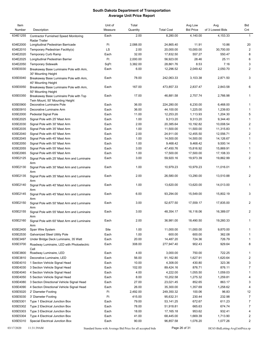| Item<br>Number | Description                                                               | Unit of<br>Measure | Total<br>Quantity | <b>Total Cost</b> | Avg Low<br><b>Bid Price</b> | Avg<br>of 3 Lowest Bids | Bid<br>Cnt     |
|----------------|---------------------------------------------------------------------------|--------------------|-------------------|-------------------|-----------------------------|-------------------------|----------------|
| 634E1255       | <b>Contractor Furnished Speed Monitoring</b><br><b>Radar Trailer</b>      | Each               | 2.00              | 8,280.00          | 4,140.00                    | 4,153.33                | $\mathbf{1}$   |
| 634E2000       | Longitudinal Pedestrian Barricade                                         | Ft                 | 2,088.00          | 24,865.40         | 11.91                       | 10.86                   | 20             |
| 634E2010       | Temporary Pedestrian Facility(s)                                          | LS                 | 2.00              | 20,000.00         | 10,000.00                   | 30,700.00               | 2              |
| 634E2020       | Temporary Curb Ramp                                                       | Each               | 32.00             | 17,832.50         | 557.27                      | 550.47                  | 8              |
| 634E2025       | Longitudinal Pedestrian Barrier                                           | Ft                 | 2,000.00          | 56,923.00         | 28.46                       | 25.11                   | 6              |
| 634E2050       | <b>Temporary Sidewalk</b>                                                 | SqFt               | 3,382.00          | 28,861.76         | 8.53                        | 7.16                    | 3              |
| 635E0030       | Breakaway Base Luminaire Pole with Arm,                                   | Each               | 6.00              | 12,296.52         | 2,049.42                    | 2,050.70                | $\overline{2}$ |
|                | 30' Mounting Height                                                       |                    |                   |                   |                             |                         |                |
| 635E0040       | Breakaway Base Luminaire Pole with Arm,<br>40' Mounting Height            | Each               | 78.00             | 242,063.33        | 3,103.38                    | 2,871.50                | 3              |
| 635E0050       | Breakaway Base Luminaire Pole with Arm,<br>50' Mounting Height            | Each               | 167.00            | 473,857.33        | 2,837.47                    | 2,843.58                | 6              |
| 635E0350       | Breakaway Base Luminaire Pole with Top<br>Twin Mount, 50' Mounting Height | Each               | 17.00             | 46,881.58         | 2,757.74                    | 2,766.98                | $\mathbf{1}$   |
| 635E0900       | Decorative Luminaire Pole                                                 | Each               | 36.00             | 224,280.00        | 6,230.00                    | 6,468.00                | $\mathbf{1}$   |
| 635E0910       | Decorative Luminaire Arm                                                  | Each               | 36.00             | 44,100.00         | 1,225.00                    | 1,239.83                | $\mathbf{1}$   |
| 635E2000       | Pedestal Signal Pole                                                      | Each               | 11.00             | 12,253.20         | 1,113.93                    | 1,204.30                | 5              |
| 635E2025       | Signal Pole with 25' Mast Arm                                             | Each               | 1.00              | 9,313.20          | 9,313.20                    | 9,344.40                | 1              |
| 635E2030       | Signal Pole with 30' Mast Arm                                             | Each               | 2.00              | 20,385.64         | 10,192.82                   | 10,008.54               | $\overline{c}$ |
| 635E2035       | Signal Pole with 35' Mast Arm                                             | Each               | 1.00              | 11,500.00         | 11,500.00                   | 11,315.83               | $\mathbf{1}$   |
| 635E2040       | Signal Pole with 40' Mast Arm                                             | Each               | 2.00              | 24,911.00         | 12,455.50                   | 12,556.71               | 2              |
| 635E2045       | Signal Pole with 45' Mast Arm                                             | Each               | 1.00              | 14,500.00         | 14,500.00                   | 14,126.67               | $\mathbf{1}$   |
| 635E2050       | Signal Pole with 50' Mast Arm                                             | Each               | 1.00              | 9,468.42          | 9,468.42                    | 9,500.14                | 1              |
| 635E2055       | Signal Pole with 55' Mast Arm                                             | Each               | 3.00              | 47,450.76         | 15,816.92                   | 15,869.91               | $\mathbf{1}$   |
| 635E2065       | Signal Pole with 65' Mast Arm                                             | Each               | 1.00              | 17,500.00         | 17,500.00                   | 17,108.33               | 1              |
| 635E2125       | Signal Pole with 25' Mast Arm and Luminaire                               | Each               | 3.00              | 59,920.16         | 19,973.39                   | 19,862.99               | 2              |
|                | Arm                                                                       |                    |                   |                   |                             |                         |                |
| 635E2130       | Signal Pole with 30' Mast Arm and Luminaire<br>Arm                        | Each               | 1.00              | 10,979.23         | 10,979.23                   | 11,016.01               | $\mathbf{1}$   |
| 635E2135       | Signal Pole with 35' Mast Arm and Luminaire<br>Arm                        | Each               | 2.00              | 26,580.00         | 13,290.00                   | 13,510.88               | 2              |
| 635E2140       | Signal Pole with 40' Mast Arm and Luminaire<br>Arm                        | Each               | 1.00              | 13,620.00         | 13,620.00                   | 14,013.00               | 1              |
| 635E2145       | Signal Pole with 45' Mast Arm and Luminaire<br>Arm                        | Each               | 6.00              | 93,294.00         | 15,549.00                   | 15,802.19               | 3              |
| 635E2150       | Signal Pole with 50' Mast Arm and Luminaire<br>Arm                        | Each               | 3.00              | 52,677.50         | 17,559.17                   | 17,835.00               | 2              |
| 635E2155       | Signal Pole with 55' Mast Arm and Luminaire<br>Arm                        | Each               | 3.00              | 48,354.17         | 16,118.06                   | 16,389.07               | 2              |
| 635E2160       | Signal Pole with 60' Mast Arm and Luminaire<br>Arm                        | Each               | 2.00              | 36,981.00         | 18,490.50                   | 19,260.33               | 1              |
| 635E2400       | Span Wire System                                                          | Site               | 1.00              | 11,000.00         | 11,000.00                   | 9,870.00                | 1              |
| 635E2530       | Galvanized Steel Utility Pole                                             | Each               | 1.00              | 600.00            | 600.00                      | 362.08                  | 1              |
| 635E3497       | Under Bridge Deck Luminaire, 35 Watt                                      | Each               | 20.00             | 14,487.20         | 724.36                      | 726.79                  | 1              |
| 635E3700       | Roadway Luminaire, LED with Photoelectric<br>Cell                         | Each               | 308.00            | 277,947.40        | 902.43                      | 929.64                  | 8              |
| 635E3800       | Roadway Luminaire, LED                                                    | Each               | 4.00              | 3,000.00          | 750.00                      | 722.25                  | 1              |
| 635E3810       | Decorative Luminaire, LED                                                 | Each               | 56.00             | 91,162.80         | 1,627.91                    | 1,620.64                | 2              |
| 635E4010       | 1 Section Vehicle Signal Head                                             | Each               | 10.00             | 4,308.00          | 430.80                      | 323.36                  | 3              |
| 635E4030       | 3 Section Vehicle Signal Head                                             | Each               | 102.00            | 89,424.16         | 876.71                      | 876.11                  | 7              |
| 635E4040       | 4 Section Vehicle Signal Head                                             | Each               | 4.00              | 4,222.00          | 1,055.50                    | 1,059.03                | 1              |
| 635E4050       | 5 Section Vehicle Signal Head                                             | Each               | 8.00              | 10,202.58         | 1,275.32                    | 1,259.81                | 4              |
| 635E4080       | 3 Section Directional Vehicle Signal Head                                 | Each               | 27.00             | 23,021.45         | 852.65                      | 863.17                  | 3              |
| 635E4090       | 4 Section Directional Vehicle Signal Head                                 | Each               | 26.00             | 35,300.00         | 1,357.69                    | 1,258.62                | 4              |
| 635E5020       | 2' Diameter Footing                                                       | Ft                 | 2,492.00          | 249,350.32        | 100.06                      | 96.83                   | 12             |
| 635E5030       | 3' Diameter Footing                                                       | Ft                 | 415.00            | 95,632.31         | 230.44                      | 232.98                  | $\overline{7}$ |
| 635E5301       | Type 1 Electrical Junction Box                                            | Each               | 79.00             | 53,141.25         | 672.67                      | 611.23                  | $\overline{7}$ |
| 635E5302       | Type 2 Electrical Junction Box                                            | Each               | 78.00             | 51,918.81         | 665.63                      | 674.74                  | 7              |
| 635E5303       | Type 3 Electrical Junction Box                                            | Each               | 18.00             | 17,165.18         | 953.62                      | 932.41                  | 4              |
| 635E5304       | Type 4 Electrical Junction Box                                            | Each               | 41.00             | 68,445.00         | 1,669.39                    | 1,713.90                | $\overline{2}$ |
| 635E5310       | Special Electrical Junction Box                                           | Each               | 90.00             | 96,857.58         | 1,076.20                    | 1,077.26                | 2              |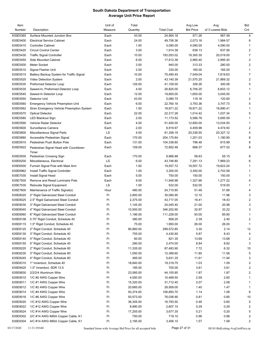| Item     |                                                | Unit of | Total     |                   | Avg Low          | Avg              | Bid                     |
|----------|------------------------------------------------|---------|-----------|-------------------|------------------|------------------|-------------------------|
| Number   | Description                                    | Measure | Quantity  | <b>Total Cost</b> | <b>Bid Price</b> | of 3 Lowest Bids | Cnt                     |
| 635E5360 | Surface Mounted Junction Box                   | Each    | 43.00     | 24,564.18         | 571.26           | 567.49           | 4                       |
| 635E5400 | <b>Electrical Service Cabinet</b>              | Each    | 24.00     | 49,756.36         | 2,073.18         | 1,984.57         | 8                       |
| 635E5410 | <b>Controller Cabinet</b>                      | Each    | 1.00      | 4,090.00          | 4,090.00         | 4,090.00         | $\mathbf{1}$            |
| 635E5420 | <b>Circuit Control Center</b>                  | Each    | 3.00      | 1,914.38          | 638.13           | 637.90           | $\overline{2}$          |
| 635E5430 | <b>Traffic Signal Controller</b>               | Each    | 10.00     | 193,053.02        | 19,305.30        | 20,019.00        | $\overline{7}$          |
| 635E5450 | Side Mounted Cabinet                           | Each    | 6.00      | 17,912.38         | 2,985.40         | 2,995.40         | $\overline{2}$          |
| 635E5500 | Meter Socket                                   | Each    | 3.00      | 940.00            | 313.33           | 280.00           | $\overline{2}$          |
| 635E5510 | Signal Flasher Unit                            | Each    | 2.00      | 330.00            | 165.00           | 165.00           | $\mathbf{1}$            |
| 635E5515 | Battery Backup System for Traffic Signal       | Each    | 10.00     | 75,490.45         | 7,549.04         | 7,619.63         | $\overline{7}$          |
| 635E5520 | Video Detection System                         | Each    | 2.00      | 43,140.39         | 21,570.20        | 21,869.32        | 2                       |
| 635E5530 | Preformed Detector Loop                        | Each    | 126.00    | 41,109.00         | 326.26           | 300.06           | 5                       |
| 635E5535 | Sawed-In, Preformed Detector Loop              | Each    | 4.00      | 26,825.00         | 6,706.25         | 6,603.12         | $\mathbf{1}$            |
| 635E5540 | Sawed-In Detector Loop                         | Each    | 12.00     | 19,800.00         | 1,650.00         | 3,045.00         | $\mathbf{1}$            |
| 635E5550 | Detector Unit                                  | Each    | 43.00     | 5,080.75          | 118.16           | 120.60           | $\overline{2}$          |
| 635E5560 | <b>Emergency Vehicle Preemption Unit</b>       | Each    | 6.00      | 22,760.18         | 3,793.36         | 3,747.73         | 5                       |
| 635E5562 | Siren Emergency Vehicle Preemption System      | Each    | 1.00      | 18,971.22         | 18,971.22        | 18,990.41        | $\mathbf{1}$            |
| 635E5570 | <b>Optical Detector</b>                        | Each    | 22.00     | 22,317.28         | 1,014.42         | 1,037.34         | 5                       |
| 635E5580 | <b>LED Blankout Sign</b>                       | Each    | 2.00      | 11,173.52         | 5,586.76         | 5,695.59         | $\mathbf{1}$            |
| 635E5590 | Vehicle Radar Detector                         | Each    | 4.00      | 51,400.00         | 12,850.00        | 13,034.50        | $\mathbf{1}$            |
| 635E5600 | Surveillance Camera                            | Each    | 2.00      | 8,919.97          | 4,459.98         | 4,474.93         | 2                       |
| 635E5800 | Miscellaneous Signal Parts                     | LS      | 4.00      | 81,358.19         | 20,339.55        | 20,327.12        | 4                       |
| 635E5880 | Accessible Pedestrian Signal                   | Each    | 170.00    | 204,175.84        | 1,201.03         | 1,180.90         | 8                       |
| 635E5910 | Pedestrian Push Button Pole                    | Each    | 131.00    | 104,338.80        | 796.48           | 815.89           | 8                       |
| 635E5922 | Pedestrian Signal Head with Countdown<br>Timer | Each    | 109.00    | 72,852.48         | 668.37           | 677.52           | 8                       |
| 635E5930 | Pedestrian Crossing Sign                       | Each    | 170.00    | 9,966.88          | 58.63            | 55.15            | 8                       |
| 635E6200 | Miscellaneous, Electrical                      | LS      | 6.00      | 43,746.80         | 7,291.13         | 7,869.23         | 6                       |
| 635E6500 | Furnish Signal Pole with Mast Arm              | Each    | 1.00      | 19,557.72         | 19,557.72        | 19,623.24        | $\mathbf{1}$            |
| 635E6962 | Install Traffic Signal Controller              | Each    | 1.00      | 3,300.00          | 3,300.00         | 2,743.58         | $\mathbf{1}$            |
| 635E7030 | Install Signal Head                            | Each    | 5.00      | 750.00            | 150.00           | 150.00           | $\mathbf{1}$            |
| 635E7500 | Remove and Reset Luminaire Pole                | Each    | 9.00      | 11,948.98         | 1,327.66         | 1,277.22         | 4                       |
| 635E7530 | Relocate Signal Equipment                      | LS      | 1.00      | 532.00            | 532.00           | 519.00           | $\mathbf{1}$            |
| 635E7600 | Maintenance of Traffic Signal(s)               | Hour    | 480.00    | 24,710.80         | 51.48            | 51.66            | 4                       |
| 635E8020 | 2" Rigid Galvanized Steel Conduit              | Ft      | 2,900.00  | 35,090.90         | 12.10            | 11.96            | 3                       |
| 635E8025 | 2.5" Rigid Galvanized Steel Conduit            | Ft      | 2,375.00  | 43,717.05         | 18.41            | 18.43            | 2                       |
| 635E8030 | 3" Rigid Galvanized Steel Conduit              | Ft      | 1,145.00  | 24,045.40         | 21.00            | 20.98            | 3                       |
| 635E8040 | 4" Rigid Galvanized Steel Conduit              | Ft      | 10,500.00 | 346,202.90        | 32.97            | 33.22            | 3                       |
| 635E8060 | 6" Rigid Galvanized Steel Conduit              | Ft      | 1,196.00  | 111,228.00        | 93.00            | 85.80            | 1                       |
| 635E8108 | 0.75" Rigid Conduit, Schedule 40               | Ft      | 380.00    | 908.20            | 2.39             | 2.40             | $\overline{2}$          |
| 635E8115 | 1.5" Rigid Conduit, Schedule 40                | Ft      | 75.00     | 1,950.00          | 26.00            | 26.00            | $\mathbf{1}$            |
| 635E8120 | 2" Rigid Conduit, Schedule 40                  | Ft      | 90,860.00 | 299,572.85        | 3.30             | 3.14             | 12                      |
| 635E8130 | 3" Rigid Conduit, Schedule 40                  | Ft      | 755.00    | 4,430.90          | 5.87             | 8.43             | 4                       |
| 635E8140 | 4" Rigid Conduit, Schedule 40                  | Ft      | 60.00     | 821.35            | 13.69            | 13.68            | 2                       |
| 635E8150 | 5" Rigid Conduit, Schedule 40                  | Ft      | 280.00    | 2,474.00          | 8.84             | 8.82             | 3                       |
| 635E8220 | 2" Rigid Conduit, Schedule 80                  | Ft      | 11,335.00 | 87,483.90         | 7.72             | 6.32             | 10                      |
| 635E8230 | 3" Rigid Conduit, Schedule 80                  | Ft      | 1,050.00  | 12,389.60         | 11.80            | 11.56            | 5                       |
| 635E8240 | 4" Rigid Conduit, Schedule 80                  | Ft      | 485.00    | 5,631.35          | 11.61            | 11.94            | 3                       |
| 635E8310 | 1" Innerduct, Schedule 40                      | Ft      | 18,840.00 | 19,319.75         | 1.03             | 1.09             | $\overline{c}$          |
| 635E8420 | 1.5" Innerduct, SDR 13.5                       | Ft      | 185.00    | 705.05            | 3.81             | 3.81             | $\overline{2}$          |
| 635E8830 | 2/2/2/4 Aluminum Wire                          | Ft      | 23,585.00 | 44,105.85         | 1.87             | 1.87             | $\overline{\mathbf{c}}$ |
| 635E9010 | 1/C #0 AWG Copper Wire                         | Ft      | 4,050.00  | 10,489.50         | 2.59             | 2.60             | $\mathbf{1}$            |
| 635E9011 | 1/C #1 AWG Copper Wire                         | Ft      | 15,320.00 | 31,712.40         | 2.07             | 2.08             | $\mathbf{1}$            |
| 635E9012 | 1/C #2 AWG Copper Wire                         | Ft      | 20,685.00 | 28,959.00         | 1.40             | 1.47             | $\mathbf{1}$            |
| 635E9014 | 1/C #4 AWG Copper Wire                         | Ft      | 93,374.00 | 106,893.70        | 1.14             | 1.08             | 8                       |
| 635E9016 | 1/C #6 AWG Copper Wire                         | Ft      | 93,573.00 | 76,036.90         | 0.81             | 0.80             | $10$                    |
| 635E9020 | 1/C #10 AWG Copper Wire                        | Ft      | 36,305.00 | 16,793.50         | 0.46             | 0.60             | 5                       |
| 635E9022 | 1/C #12 AWG Copper Wire                        | Ft      | 8,990.00  | 2,607.10          | 0.29             | 0.29             | $\overline{2}$          |
| 635E9024 | 1/C #14 AWG Copper Wire                        | Ft      | 17,255.00 | 3,677.35          | 0.21             | 0.20             | $\,$ 5 $\,$             |
| 635E9302 | 2/C #14 AWG IMSA Copper Cable, K1              | Ft      | 750.00    | 718.10            | 0.96             | 0.96             | $\overline{c}$          |
| 635E9304 | 4/C #14 AWG IMSA Copper Cable, K1              | Ft      | 2,195.00  | 3,456.10          | 1.57             | 1.58             | $\overline{\mathbf{c}}$ |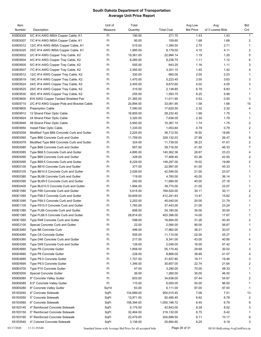| Item     |                                            | Unit of | Total      |                   | Avg Low          | Avg              | Bid                     |
|----------|--------------------------------------------|---------|------------|-------------------|------------------|------------------|-------------------------|
| Number   | Description                                | Measure | Quantity   | <b>Total Cost</b> | <b>Bid Price</b> | of 3 Lowest Bids | Cnt                     |
| 635E9305 | 5/C #14 AWG IMSA Copper Cable, K1          | Ft      | 190.00     | 271.70            | 1.43             | 1.43             | $\mathbf{1}$            |
| 635E9307 | 7/C #14 AWG IMSA Copper Cable, K1          | Ft      | 95.00      | 159.60            | 1.68             | 1.68             | $\overline{c}$          |
| 635E9312 | 12/C #14 AWG IMSA Copper Cable, K1         | Ft      | 515.00     | 1,390.50          | 2.70             | 2.71             | 1                       |
| 635E9325 | 25/C #14 AWG IMSA Copper Cable, K1         | Ft      | 1,995.00   | 8,179.50          | 4.10             | 4.11             | 2                       |
| 635E9502 |                                            | Ft      | 19,361.00  | 22,994.14         | 1.19             | 1.20             | 5                       |
|          | 2/C #14 AWG Copper Tray Cable, K2          |         |            |                   |                  |                  |                         |
| 635E9504 | 4/C #14 AWG Copper Tray Cable, K2          | Ft      | 8,285.00   | 9,236.75          | 1.11             | 1.12             | 6                       |
| 635E9505 | 5/C #14 AWG Copper Tray Cable, K2          | Ft      | 555.00     | 643.25            | 1.16             | 1.11             | 3                       |
| 635E9507 | 7/C #14 AWG Copper Tray Cable, K2          | Ft      | 2,365.00   | 3,301.10          | 1.40             | 1.42             | 4                       |
| 635E9512 | 12/C #14 AWG Copper Tray Cable, K2         | Ft      | 330.00     | 660.00            | 2.00             | 2.03             | $\mathbf{1}$            |
| 635E9519 | 19/C #14 AWG Copper Tray Cable, K2         | Ft      | 1,470.00   | 5,223.45          | 3.55             | 3.63             | 3                       |
| 635E9524 | 24/C #14 AWG Copper Tray Cable, K2         | Ft      | 2,405.00   | 9,672.60          | 4.02             | 4.05             | 3                       |
| 635E9525 | 25/C #14 AWG Copper Tray Cable, K2         | Ft      | 315.00     | 2,138.85          | 6.79             | 6.83             | 1                       |
| 635E9530 | 30/C #14 AWG Copper Tray Cable, K2         | Ft      | 255.00     | 1,593.75          | 6.25             | 5.99             | $\mathbf{1}$            |
| 635E9600 | #16 AWG Copper Twisted Shielded Pair       | Ft      | 21,365.00  | 11,011.95         | 0.52             | 0.50             | 3                       |
| 635E9710 | 2/C #10 AWG Copper Pole and Bracket Cable  | Ft      | 20,894.00  | 33,061.95         | 1.58             | 1.66             | 10                      |
| 635E9800 | <b>Preemption Cable</b>                    | Ft      | 7,590.00   | 17,620.50         | 2.32             | 2.32             | $\overline{4}$          |
| 635E9912 | 12 Strand Fiber Optic Cable                | Ft      | 16,805.00  | 28,232.40         | 1.68             | 1.75             | $\mathbf{1}$            |
| 635E9924 | 24 Strand Fiber Optic Cable                | Ft      | 3,320.00   | 7,636.00          | 2.30             | 1.79             | $\mathbf{1}$            |
| 635E9948 | 48 Strand Fiber Optic Cable                | Ft      | 5,950.00   | 10,367.10         | 1.74             | 1.75             | 2                       |
| 635E9950 | Install Fiber Optic Cable                  | Ft      | 1,335.00   | 1,053.60          | 0.79             | 0.79             | $\overline{c}$          |
| 650E0059 | Modified Type B66 Concrete Curb and Gutter | Ft      | 2,225.00   | 36,712.50         | 16.50            | 18.66            | $\mathbf{1}$            |
| 650E0060 | Type B66 Concrete Curb and Gutter          | Ft      | 11,759.00  | 329,132.03        | 27.99            | 26.47            | 9                       |
|          |                                            |         |            |                   |                  |                  |                         |
| 650E0079 | Modified Type B68 Concrete Curb and Gutter | Ft      | 324.00     | 11,739.00         | 36.23            | 41.61            | 2                       |
| 650E0080 | Type B68 Concrete Curb and Gutter          | Ft      | 957.00     | 39,716.50         | 41.50            | 46.33            | $\overline{7}$          |
| 650E0085 | Type B68.5 Concrete Curb and Gutter        | Ft      | 4,895.00   | 140,362.36        | 28.67            | 23.23            | 4                       |
| 650E0090 | Type B69 Concrete Curb and Gutter          | Ft      | 328.00     | 17,468.40         | 53.26            | 42.50            | $\overline{c}$          |
| 650E0095 | Type B69.5 Concrete Curb and Gutter        | Ft      | 8,229.00   | 148,297.00        | 18.02            | 19.88            | 2                       |
| 650E0100 | Type B610 Concrete Curb and Gutter         | Ft      | 377.00     | 22,997.00         | 61.00            | 45.33            | $\mathbf{1}$            |
| 650E0105 | Type B610.5 Concrete Curb and Gutter       | Ft      | 2,026.00   | 42,546.00         | 21.00            | 23.07            | 1                       |
| 650E0380 | Type BL68 Concrete Curb and Gutter         | Ft      | 119.00     | 4,760.00          | 40.00            | 36.14            | 1                       |
| 650E0395 | Type BL69.5 Concrete Curb and Gutter       | Ft      | 292.00     | 11,680.00         | 40.00            | 27.18            | 1                       |
| 650E0405 | Type BL610.5 Concrete Curb and Gutter      | Ft      | 1,894.00   | 39,774.00         | 21.00            | 23.07            | $\mathbf{1}$            |
| 650E1080 | Type F68 Concrete Curb and Gutter          | Ft      | 5,614.00   | 169,020.00        | 30.11            | 30.11            | 2                       |
| 650E1085 | Type F68.5 Concrete Curb and Gutter        | Ft      | 30,609.00  | 412,241.63        | 13.47            | 15.82            | 2                       |
| 650E1095 | Type F69.5 Concrete Curb and Gutter        | Ft      | 2,252.00   | 45,040.00         | 20.00            | 21.79            | 1                       |
| 650E1105 | Type F610.5 Concrete Curb and Gutter       | Ft      | 1,783.00   | 37,443.00         | 21.00            | 23.24            | 1                       |
| 650E1380 | Type FL68 Concrete Curb and Gutter         | Ft      | 806.00     | 24,180.00         | 30.00            | 30.00            | 1                       |
| 650E1385 | Type FL68.5 Concrete Curb and Gutter       | Ft      | 28,814.00  | 403,396.00        | 14.00            | 17.67            |                         |
| 650E1560 | Type R48 Concrete Curb and Gutter          | Ft      | 598.00     | 18,694.00         | 31.26            | 40.40            | $\overline{\mathbf{c}}$ |
| 650E2100 | Special Concrete Curb and Gutter           | Ft      | 22.00      | 2,090.00          | 95.00            | 56.67            | 1                       |
|          |                                            |         |            |                   |                  |                  |                         |
| 650E3060 | Type B6 Concrete Curb                      | Ft      | 496.00     | 17,962.00         | 36.21            | 30.07            | 3                       |
| 650E4060 | Type C6 Concrete Gutter                    | Ft      | 505.00     | 11,110.00         | 22.00            | 25.27            | 1                       |
| 650E4360 | Type D46 Concrete Curb and Gutter          | Ft      | 217.00     | 9,341.00          | 43.05            | 40.85            | 4                       |
| 650E4390 | Type D49 Concrete Curb and Gutter          | Ft      | 128.00     | 2,048.00          | 16.00            | 47.42            | 1                       |
| 650E4660 | Type P6 Concrete Gutter                    | Ft      | 1,858.00   | 55,170.40         | 29.69            | 30.02            | 3                       |
| 650E4680 | Type P8 Concrete Gutter                    | Ft      | 228.00     | 8,868.00          | 38.89            | 41.07            | 4                       |
| 650E4685 | Type P8.5 Concrete Gutter                  | Ft      | 1,707.00   | 31,937.80         | 18.71            | 19.46            | 3                       |
| 650E4695 | Type P9.5 Concrete Gutter                  | Ft      | 1,346.00   | 30,607.00         | 22.74            | 21.64            | 2                       |
| 650E4700 | Type P10 Concrete Gutter                   | Ft      | 47.00      | 3,290.00          | 70.00            | 48.33            | 1                       |
| 650E5000 | <b>Special Concrete Gutter</b>             | Ft      | 36.00      | 1,260.00          | 35.00            | 46.50            | 1                       |
| 650E6080 | 8" Concrete Valley Gutter                  | Ft      | 603.00     | 34,638.00         | 57.44            | 54.87            | $\overline{\mathbf{c}}$ |
| 650E6085 | 8.5" Concrete Valley Gutter                | Ft      | 110.00     | 6,050.00          | 55.00            | 96.50            | $\mathbf{1}$            |
| 650E6280 | 8" Concrete Valley Gutter                  | SqYd    | 63.00      | 6,111.00          | 97.00            | 97.00            | 1                       |
| 651E0040 | 4" Concrete Sidewalk                       | SqFt    | 134,689.00 | 954,015.45        | 7.08             | 7.51             | 13                      |
| 651E0050 | 5" Concrete Sidewalk                       | SqFt    | 13,971.00  | 92,485.45         | 6.62             | 6.78             | $\overline{\mathbf{c}}$ |
| 651E0060 | 6" Concrete Sidewalk                       | SqFt    | 156,394.00 | 1,000,196.72      | 6.40             | 6.79             | 9                       |
| 651E0140 | 4" Reinforced Concrete Sidewalk            | SqFt    | 5,175.00   | 42,843.00         | 8.28             | 8.02             | 3                       |
| 651E0150 | 5" Reinforced Concrete Sidewalk            | SqFt    | 32,464.00  | 219,132.00        | 6.75             | 6.42             | 1                       |
|          |                                            |         |            |                   |                  |                  |                         |
| 651E0160 | 6" Reinforced Concrete Sidewalk            | SqFt    | 22,479.00  | 204,688.50        | 9.11             | 10.17            | 9                       |
| 651E0540 | 4" Colored Concrete Sidewalk               | SqFt    | 3,138.00   | 25,884.60         | 8.25             | 9.19             | 3                       |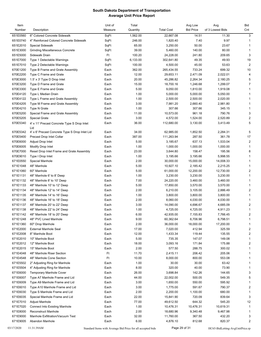| Item     |                                                | Unit of | Total    |                   | Avg Low          | Avg              | Bid            |
|----------|------------------------------------------------|---------|----------|-------------------|------------------|------------------|----------------|
| Number   | Description                                    | Measure | Quantity | <b>Total Cost</b> | <b>Bid Price</b> | of 3 Lowest Bids | Cnt            |
| 651E0560 | 6" Colored Concrete Sidewalk                   | SqFt    | 1,562.00 | 22,667.08         | 14.51            | 11.30            | 3              |
| 651E0740 | 4" Reinforced Colored Concrete Sidewalk        | SqFt    | 246.00   | 1,820.40          | 7.40             | 9.97             | -1             |
| 651E2010 | <b>Special Sidewalk</b>                        | SqFt    | 65.00    | 3,250.00          | 50.00            | 23.67            | $\mathbf{1}$   |
| 651E3000 | <b>Grinding Miscellaneous Concrete</b>         | SqFt    | 39.00    | 5,460.00          | 140.00           | 80.00            | $\mathbf{1}$   |
| 651E5000 | Sidewalk Drain                                 | Ft      | 100.20   | 24,228.00         | 241.80           | 209.65           | 3              |
| 651E7000 | Type 1 Detectable Warnings                     | SqFt    | 6,133.00 | 302,641.80        | 49.35            | 49.93            | 19             |
| 651E7010 | Type 2 Detectable Warnings                     | SqFt    | 100.00   | 4,500.00          | 45.00            | 53.63            | 2              |
| 670E1200 | Type B Frame and Grate Assembly                |         | 362.00   | 265,434.55        | 733.24           | 699.32           | 10             |
|          | Type C Frame and Grate                         | Each    |          |                   |                  |                  |                |
| 670E2200 |                                                | Each    | 12.00    | 29,653.11         | 2,471.09         | 2,022.01         | 4              |
| 670E3000 | 1.5' x 3' Type D Drop Inlet                    | Each    | 20.00    | 45,286.82         | 2,264.34         | 2,180.25         | 5              |
| 670E3200 | Type D Frame and Grate                         | Each    | 15.00    | 18,700.16         | 1,246.68         | 1,299.07         | $\overline{7}$ |
| 670E3300 | Type E Frame and Grate                         | Each    | 5.00     | 9,050.00          | 1,810.00         | 1,919.08         | $\mathbf{1}$   |
| 670E4120 | Type L Median Drain                            | Each    | 1.00     | 5,000.00          | 5,000.00         | 5,050.00         | 1              |
| 670E4122 | Type L Frame and Grate Assembly                | Each    | 1.00     | 2,500.00          | 2,500.00         | 2,020.00         | $\mathbf{1}$   |
| 670E4205 | Type M Frame and Grate Assembly                | Each    | 3.00     | 7,981.20          | 2,660.40         | 2,981.80         | $\mathbf{1}$   |
| 670E4210 | Type N Grate                                   | Each    | 1.00     | 307.66            | 307.66           | 345.15           | $\mathbf{1}$   |
| 670E5200 | Special Frame and Grate Assembly               | Each    | 11.00    | 10,573.00         | 961.18           | 790.76           | 3              |
| 670E5205 | <b>Special Grate</b>                           | Each    | 3.00     | 4,572.00          | 1,524.00         | 2,520.89         | $\overline{2}$ |
| 670E5340 | 4' x 11' Precast Concrete Type S Drop Inlet    | Each    | 36.00    | 112,680.00        | 3,130.00         | 3,413.49         | 5              |
|          | Lid                                            |         |          |                   |                  |                  |                |
| 670E5342 | 4' x 6' Precast Concrete Type S Drop Inlet Lid | Each    | 34.00    | 62,985.00         | 1,852.50         | 2,284.31         | 5              |
| 670E5400 | Precast Drop Inlet Collar                      | Each    | 387.00   | 111,263.94        | 287.50           | 361.78           | 17             |
| 670E6000 | Adjust Drop Inlet                              | Each    | 5.00     | 3,185.67          | 637.13           | 1,533.04         | $\overline{2}$ |
| 670E6005 | Modify Drop Inlet                              | Each    | 1.00     | 1,000.00          | 1,000.00         | 1,000.00         | $\mathbf{1}$   |
| 670E7000 | Reset Drop Inlet Frame and Grate Assembly      | Each    | 23.00    | 3,644.80          | 158.47           | 195.56           | 8              |
| 670E9010 | Type I Drop Inlet                              | Each    | 1.00     | 3,195.66          | 3,195.66         | 5,998.55         | $\mathbf{1}$   |
| 671E0550 | Special Manhole                                | Each    | 2.00     | 30,000.00         | 15,000.00        | 14,008.33        | $\mathbf{1}$   |
| 671E1048 | 48" Manhole                                    | Each    | 5.00     | 10,927.10         | 2,185.42         | 2,215.25         | $\mathbf{1}$   |
| 671E1060 | 60" Manhole                                    | Each    | 5.00     | 61,000.00         | 12,200.00        | 12,730.00        | $\overline{c}$ |
| 671E1131 | 48" Manhole 6' to 8' Deep                      | Each    | 1.00     | 3,230.00          | 3,230.00         | 3,230.00         | $\mathbf{1}$   |
| 671E1132 | 48" Manhole 8' to 10' Deep                     | Each    | 7.00     | 24,220.00         | 3,460.00         | 3,460.00         | $\mathbf{1}$   |
| 671E1133 | 48" Manhole 10' to 12' Deep                    | Each    | 5.00     | 17,850.00         | 3,570.00         | 3,570.00         | $\mathbf{1}$   |
| 671E1134 | 48" Manhole 12' to 14' Deep                    | Each    | 2.00     | 6,210.00          | 3,105.00         | 2,886.49         | $\overline{2}$ |
| 671E1135 | 48" Manhole 14' to 16' Deep                    | Each    | 1.00     | 3,800.00          | 3,800.00         | 3,800.00         | $\mathbf{1}$   |
| 671E1136 | 48" Manhole 16' to 18' Deep                    | Each    | 2.00     | 8,060.00          | 4,030.00         | 4,030.00         | 1              |
| 671E1137 | 48" Manhole 20' to 22' Deep                    | Each    | 3.00     | 14,090.00         | 4,696.67         | 4,685.09         | 2              |
| 671E1138 | 48" Manhole 22' to 24' Deep                    | Each    | 1.00     | 4,725.00          | 4,725.00         | 4,911.23         | $\mathbf{1}$   |
| 671E1142 | 48" Manhole 18' to 20' Deep                    | Each    | 6.00     | 42,935.00         | 7,155.83         | 7,766.45         | 2              |
| 671E1248 | 48" PVC Lined Manhole                          | Each    | 9.00     | 60,362.64         | 6,706.96         | 6,798.51         | 1              |
| 671E1360 | 60" Drop Manhole                               | Each    | 2.00     | 36,000.00         | 18,000.00        | 17,200.00        | $\mathbf{1}$   |
| 671E2000 | <b>External Manhole Seal</b>                   | Each    | 17.00    | 7,020.00          | 412.94           | 325.59           | 2              |
| 671E2008 | 8" Manhole Boot                                | Each    | 12.00    | 1,433.34          | 119.44           | 135.55           | $\overline{2}$ |
| 671E2010 | 10" Manhole Boot                               | Each    | 5.00     | 735.35            | 147.07           | 149.08           | $\mathbf{1}$   |
| 671E2012 | 12" Manhole Boot                               | Each    | 18.00    | 3,093.16          | 171.84           | 175.88           | $\overline{2}$ |
|          |                                                |         |          |                   |                  |                  |                |
| 671E2015 | 15" Manhole Boot                               | Each    | 2.00     | 577.50            | 288.75           | 300.02           | 1              |
| 671E4048 | 48" Manhole Riser Section                      | Ft      | 11.70    | 2,415.11          | 206.42           | 205.06           | $\mathbf{1}$   |
| 671E4548 | 48" Manhole Cone Section                       | Ft      | 10.00    | 8,000.00          | 800.00           | 553.08           | 1              |
| 671E5502 | 2" Adjusting Ring for Manhole                  | Each    | 1.00     | 30.00             | 30.00            | 63.42            | 1              |
| 671E5504 | 4" Adjusting Ring for Manhole                  | Each    | 8.00     | 320.00            | 40.00            | 73.90            | 1              |
| 671E6000 | <b>Temporary Manhole Cover</b>                 | Each    | 26.00    | 3,698.84          | 142.26           | 144.65           | 3              |
| 671E6007 | Type A7 Manhole Frame and Lid                  | Each    | 44.00    | 22,002.00         | 500.05           | 549.35           | 5              |
| 671E6009 | Type A9 Manhole Frame and Lid                  | Each    | 3.00     | 1,650.00          | 550.00           | 595.92           | $\mathbf{1}$   |
| 671E6010 | Type A10 Manhole Frame and Lid                 | Each    | 3.00     | 1,775.00          | 591.67           | 790.37           | $\overline{2}$ |
| 671E6030 | Type S Manhole Frame and Lid                   | Each    | 2.00     | 2,200.00          | 1,100.00         | 680.00           | $\mathbf{1}$   |
| 671E6035 | Special Manhole Frame and Lid                  | Each    | 22.00    | 15,841.90         | 720.09           | 839.64           | 3              |
| 671E7010 | Adjust Manhole                                 | Each    | 77.00    | 49,612.50         | 644.32           | 545.20           | 12             |
| 671E7020 | <b>Connect Into Existing Manhole</b>           | Each    | 1.00     | 10,476.31         | 10,476.31        | 10,619.31        | $\mathbf{1}$   |
| 671E8000 | Reconstruct Manhole                            | Each    | 2.00     | 18,680.96         | 9,340.48         | 9,467.98         | $\mathbf{1}$   |
| 671E9000 | Manhole Exfiltration/Vacuum Test               | Each    | 32.00    | 11,760.00         | 367.50           | 432.20           | 3              |
| 671E9005 | Abandon Manhole                                | Each    | 6.00     | 4,876.10          | 812.68           | 820.37           | $\overline{2}$ |
|          |                                                |         |          |                   |                  |                  |                |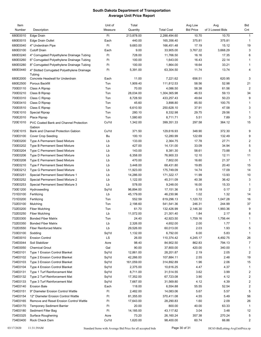| Item     |                                                       | Unit of | Total      |                   | Avg Low          | Avg              | <b>Bid</b>     |
|----------|-------------------------------------------------------|---------|------------|-------------------|------------------|------------------|----------------|
| Number   | Description                                           | Measure | Quantity   | <b>Total Cost</b> | <b>Bid Price</b> | of 3 Lowest Bids | Cnt            |
| 680E0010 | Edge Drain                                            | Ft      | 213,878.00 | 2,288,494.60      | 10.70            | 10.70            | $\mathbf{1}$   |
| 680E0015 | Edge Drain Outlet                                     | Each    | 440.00     | 165,356.40        | 375.81           | 375.81           | $\mathbf 1$    |
| 680E0040 | 4" Underdrain Pipe                                    | Ft      | 9,683.00   | 166,451.48        | 17.19            | 15.12            | 19             |
| 680E0100 | <b>Cutoff Drain</b>                                   | Each    | 9.00       | 33,905.00         | 3,767.22         | 3,668.29         | 3              |
| 680E0240 | 4" Corrugated Polyethylene Drainage Tubing            | Ft      | 728.00     | 11,766.50         | 16.16            | 17.35            | 6              |
| 680E0260 | 6" Corrugated Polyethylene Drainage Tubing            | Ft      | 100.00     | 1,643.00          | 16.43            | 22.14            | $\mathbf{1}$   |
| 680E0280 | 8" Corrugated Polyethylene Drainage Tubing            | Ft      | 100.00     | 1,864.00          | 18.64            | 33.21            | -1             |
|          |                                                       |         |            |                   |                  |                  | 4              |
| 680E0440 | 4" Slotted Corrugated Polyethylene Drainage<br>Tubing | Ft      | 5,391.00   | 63,304.50         | 11.74            | 13.74            |                |
| 680E2000 | Concrete Headwall for Underdrain                      | Each    | 11.00      | 7,221.62          | 656.51           | 620.95           | 3              |
| 680E2500 | Porous Backfill                                       | Ton     | 1,909.40   | 111,812.53        | 58.56            | 52.98            | 21             |
| 700E0110 | Class A Riprap                                        | Ton     | 70.00      | 4,086.50          | 58.38            | 61.56            | $\overline{2}$ |
| 700E0210 | Class B Riprap                                        | Ton     | 28,034.00  | 1,304,365.98      | 46.53            | 59.13            | 34             |
| 700E0310 | Class C Riprap                                        | Ton     | 8,728.50   | 433,257.43        | 49.64            | 50.23            | 9              |
| 700E0410 | Class D Riprap                                        | Ton     | 45.60      | 3,898.80          | 85.50            | 100.75           | $\mathbf{1}$   |
| 700E0510 | Class E Riprap                                        | Ton     | 6,610.50   | 250,628.10        | 37.91            | 47.58            | 3              |
| 700E1010 | <b>Special Riprap</b>                                 | Ton     | 280.10     | 8,332.98          | 29.75            | 29.56            | $\mathbf{1}$   |
| 700E2010 | Place Riprap                                          | Ton     | 1,580.60   | 8,711.71          | 5.51             | 7.89             | 3              |
| 720E1010 | PVC Coated Bank and Channel Protection                | CuYd    | 1,342.00   | 399,351.33        | 297.58           | 364.12           | 15             |
|          | Gabion                                                |         |            |                   |                  |                  |                |
| 720E1015 | Bank and Channel Protection Gabion                    | CuYd    | 371.50     | 129,616.93        | 348.90           | 372.30           | 9              |
| 730E0100 | <b>Cover Crop Seeding</b>                             | Bu      | 100.10     | 12,280.99         | 122.69           | 132.49           | 9              |
| 730E0200 | <b>Type A Permanent Seed Mixture</b>                  | Lb      | 133.00     | 2,364.75          | 17.78            | 27.71            | $\overline{2}$ |
| 730E0202 | Type B Permanent Seed Mixture                         | Lb      | 427.00     | 14,131.00         | 33.09            | 34.94            | $\,$ 5 $\,$    |
| 730E0204 | <b>Type C Permanent Seed Mixture</b>                  | Lb      | 143.00     | 8,381.30          | 58.61            | 73.88            | 5              |
| 730E0206 | Type D Permanent Seed Mixture                         | Lb      | 6,358.00   | 76,900.33         | 12.10            | 12.11            | 11             |
| 730E0208 |                                                       |         | 470.00     | 7,802.00          | 16.60            |                  | $\mathbf{1}$   |
|          | <b>Type E Permanent Seed Mixture</b>                  | Lb      |            |                   |                  | 21.37            |                |
| 730E0210 | <b>Type F Permanent Seed Mixture</b>                  | Lb      | 3,448.00   | 68,431.80         | 19.85            | 20.40            | 15             |
| 730E0212 | Type G Permanent Seed Mixture                         | Lb      | 11,923.00  | 175,749.09        | 14.74            | 17.09            | 14             |
| 730E0251 | Special Permanent Seed Mixture 1                      | Lb      | 14,286.00  | 171,322.17        | 11.99            | 13.93            | 10             |
| 730E0252 | Special Permanent Seed Mixture 2                      | Lb      | 1,122.00   | 45,311.09         | 40.38            | 36.42            | 3              |
| 730E0253 | Special Permanent Seed Mixture 3                      | Lb      | 578.00     | 9,248.00          | 16.00            | 15.33            | $\mathbf{1}$   |
| 730E1200 | Hydroseeding                                          | SqYd    | 96,894.00  | 17,151.36         | 0.18             | 0.17             | $\overline{2}$ |
| 731E0100 | Fertilizing                                           | Lb      | 45,179.00  | 46,230.96         | 1.02             | 1.32             | 14             |
| 731E0200 | Fertilizing                                           | Ton     | 552.59     | 619,296.13        | 1,120.72         | 1,047.28         | 16             |
| 732E0100 | Mulching                                              | Ton     | 2,198.60   | 541,541.36        | 246.31           | 244.99           | 37             |
| 732E0200 | <b>Fiber Mulching</b>                                 | Ton     | 61.70      | 132,426.99        | 2,146.30         | 1,993.36         | 9              |
| 732E0250 | <b>Fiber Mulching</b>                                 | Lb      | 11,572.00  | 21,301.40         | 1.84             | 2.17             | 8              |
| 732E0300 | <b>Bonded Fiber Matrix</b>                            | Ton     | 24.40      | 42,923.50         | 1,759.16         | 1,756.44         | $\mathbf{1}$   |
| 732E0350 | <b>Bonded Fiber Matrix</b>                            | Lb      | 2,326.00   | 4,652.00          | 2.00             | 1.77             | $\mathbf{1}$   |
| 732E0550 | <b>Fiber Reinforced Matrix</b>                        | Lb      | 29,526.00  | 60,013.00         | 2.03             | 1.93             | 5              |
| 733E0100 | Sodding                                               | SqYd    | 1,132.00   | 6,792.00          | 6.00             | 5.83             | $\mathbf{1}$   |
| 734E0010 | <b>Erosion Control</b>                                | LS      | 26.00      | 110,374.42        | 4,245.17         | 4,492.75         | 26             |
| 734E0044 | Soil Stabilizer                                       | Acre    | 98.40      | 84,902.50         | 862.83           | 794.13           | 7              |
| 734E0050 | <b>Chemical Grout</b>                                 | Gal     | 90.00      | 37,800.00         | 420.00           | 340.00           | $\mathbf 1$    |
| 734E0101 | Type 1 Erosion Control Blanket                        | SqYd    | 12,861.00  | 28,201.87         | 2.19             | 2.05             | 2              |
| 734E0102 | Type 2 Erosion Control Blanket                        | SqYd    | 42,266.00  | 107,884.11        | 2.55             | 2.48             | 19             |
| 734E0103 | Type 3 Erosion Control Blanket                        | SqYd    | 161,059.00 | 314,892.89        | 1.96             | 2.06             | 15             |
| 734E0104 | Type 4 Erosion Control Blanket                        | SqYd    | 2,375.00   | 10,616.25         | 4.47             | 4.37             | $\mathbf{1}$   |
| 734E0131 | Type 1 Turf Reinforcement Mat                         | SqYd    |            |                   | 3.62             | 3.99             |                |
|          |                                                       |         | 8,711.00   | 31,514.55         |                  |                  | 2              |
| 734E0132 | Type 2 Turf Reinforcement Mat                         | SqYd    | 17,352.00  | 67,723.08         | 3.90             | 4.12             | $\overline{2}$ |
| 734E0133 | Type 3 Turf Reinforcement Mat                         | SqYd    | 7,667.00   | 31,569.80         | 4.12             | 4.39             | $\overline{2}$ |
| 734E0140 | <b>Erosion Bale</b>                                   | Each    | 118.00     | 6,554.88          | 55.55            | 52.54            | 2              |
| 734E0151 | 9" Diameter Erosion Control Wattle                    | Ft      | 2,482.00   | 14,083.06         | 5.67             | 5.57             | 5              |
| 734E0154 | 12" Diameter Erosion Control Wattle                   | Ft      | 81,355.00  | 370,411.08        | 4.55             | 5.49             | 56             |
| 734E0165 | Remove and Reset Erosion Control Wattle               | Ft      | 17,643.00  | 28,290.83         | 1.60             | 2.09             | 26             |
| 734E0170 | <b>Temporary Sediment Barrier</b>                     | Ft      | 20.00      | 800.00            | 40.00            | 63.33            | $\mathbf 1$    |
| 734E0180 | Sediment Filter Bag                                   | Ft      | 14,185.00  | 43,117.82         | 3.04             | 3.48             | 12             |
| 734E0325 | Surface Roughening                                    | Acre    | 73.20      | 26,160.24         | 357.38           | 270.24           | 5              |
| 734E0400 | Rock Check Dam                                        | CuYd    | 1,620.00   | 98,400.00         | 60.74            | 66.86            | 2              |
|          |                                                       |         |            |                   |                  |                  |                |